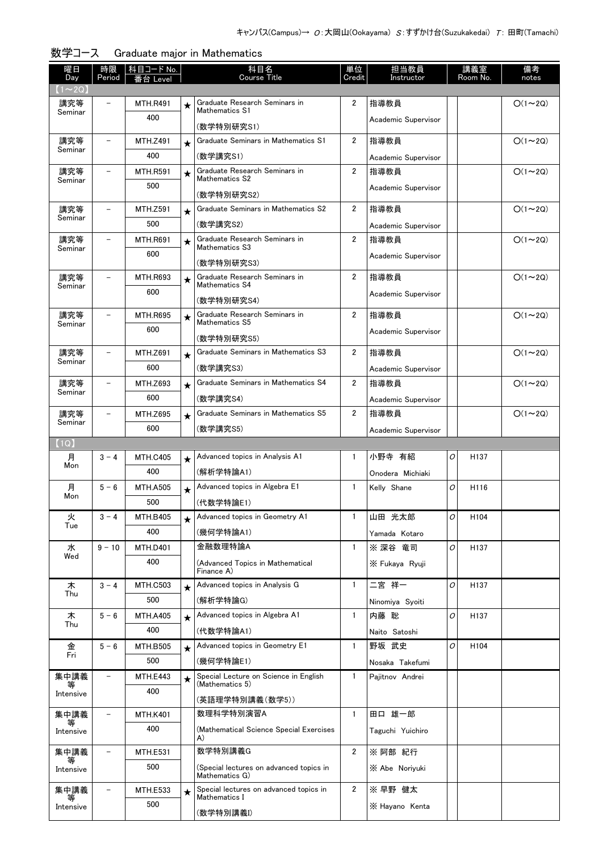| 曜日                  | 時限                       | <u> 科目コード No.  </u> |            | 科目名<br><b>Course Title</b>                                | 単位             | 担当教員                |   | 講義室      | 備考            |
|---------------------|--------------------------|---------------------|------------|-----------------------------------------------------------|----------------|---------------------|---|----------|---------------|
| Day<br>$(1\sim 2Q)$ | Period                   | 台 Level             |            |                                                           | Credit         | Instructor          |   | Room No. | notes         |
| 講究等                 |                          | <b>MTH.R491</b>     | $\star$    | Graduate Research Seminars in                             | $\overline{2}$ | 指導教員                |   |          | $O(1\sim 2Q)$ |
| Seminar             |                          | 400                 |            | <b>Mathematics S1</b>                                     |                | Academic Supervisor |   |          |               |
|                     |                          |                     |            | (数学特別研究S1)                                                |                |                     |   |          |               |
| 講究等<br>Seminar      |                          | <b>MTH.Z491</b>     | $\star$    | Graduate Seminars in Mathematics S1                       | $\overline{2}$ | 指導教員                |   |          | $O(1\sim 2Q)$ |
|                     |                          | 400                 |            | (数学講究S1)                                                  |                | Academic Supervisor |   |          |               |
| 講究等<br>Seminar      |                          | <b>MTH.R591</b>     | $\star$    | Graduate Research Seminars in<br>Mathematics S2           | $\overline{2}$ | 指導教員                |   |          | $O(1\sim 2Q)$ |
|                     |                          | 500                 |            | (数学特別研究S2)                                                |                | Academic Supervisor |   |          |               |
| 講究等                 |                          | <b>MTH.Z591</b>     | $\star$    | Graduate Seminars in Mathematics S2                       | $\overline{2}$ | 指導教員                |   |          | $O(1\sim 2Q)$ |
| Seminar             |                          | 500                 |            | (数学講究S2)                                                  |                | Academic Supervisor |   |          |               |
| 講究等                 |                          | <b>MTH.R691</b>     | $\star$    | Graduate Research Seminars in                             | $\overline{2}$ | 指導教員                |   |          | $O(1\sim 2Q)$ |
| Seminar             |                          | 600                 |            | Mathematics S3                                            |                | Academic Supervisor |   |          |               |
|                     |                          |                     |            | (数学特別研究S3)                                                |                |                     |   |          |               |
| 講究等<br>Seminar      |                          | <b>MTH.R693</b>     | $\star$    | Graduate Research Seminars in<br>Mathematics S4           | $\overline{2}$ | 指導教員                |   |          | $O(1\sim 2Q)$ |
|                     |                          | 600                 |            | (数学特別研究S4)                                                |                | Academic Supervisor |   |          |               |
| 講究等                 | $\overline{\phantom{0}}$ | <b>MTH.R695</b>     | $\bigstar$ | Graduate Research Seminars in                             | $\overline{2}$ | 指導教員                |   |          | $O(1\sim 2Q)$ |
| Seminar             |                          | 600                 |            | Mathematics S5                                            |                | Academic Supervisor |   |          |               |
|                     |                          |                     |            | (数学特別研究S5)                                                |                |                     |   |          |               |
| 講究等<br>Seminar      |                          | <b>MTH.Z691</b>     | $\star$    | Graduate Seminars in Mathematics S3                       | $\overline{2}$ | 指導教員                |   |          | $O(1\sim 2Q)$ |
|                     |                          | 600                 |            | (数学講究S3)                                                  |                | Academic Supervisor |   |          |               |
| 講究等<br>Seminar      |                          | MTH.Z693            | $\star$    | Graduate Seminars in Mathematics S4                       | $\overline{2}$ | 指導教員                |   |          | $O(1\sim 2Q)$ |
|                     |                          | 600                 |            | (数学講究S4)                                                  |                | Academic Supervisor |   |          |               |
| 講究等<br>Seminar      |                          | <b>MTH.Z695</b>     | $\star$    | Graduate Seminars in Mathematics S5                       | $\overline{2}$ | 指導教員                |   |          | $O(1\sim 2Q)$ |
|                     |                          | 600                 |            | (数学講究S5)                                                  |                | Academic Supervisor |   |          |               |
| (1Q)<br>月           | $3 - 4$                  | <b>MTH.C405</b>     |            | Advanced topics in Analysis A1                            | -1             | 小野寺 有紹              | 0 | H137     |               |
| Mon                 |                          | 400                 | $\star$    | (解析学特論A1)                                                 |                | Onodera Michiaki    |   |          |               |
| 月                   | $5 - 6$                  | <b>MTH.A505</b>     |            | Advanced topics in Algebra E1                             | $\mathbf{1}$   | Kelly Shane         | O | H116     |               |
| Mon                 |                          | 500                 | $\star$    | (代数学特論E1)                                                 |                |                     |   |          |               |
| 火                   | $3 - 4$                  | MTH.B405            |            | Advanced topics in Geometry A1                            | $\mathbf{1}$   | 山田 光太郎              | 0 | H104     |               |
| Tue                 |                          | 400                 |            | (幾何学特論A1)                                                 |                | Yamada Kotaro       |   |          |               |
| 水                   | $9 - 10$                 | <b>MTH.D401</b>     |            | 金融数理特論A                                                   | $\mathbf{1}$   | ※ 深谷 竜司             | 0 | H137     |               |
| Wed                 |                          | 400                 |            | (Advanced Topics in Mathematical                          |                | X Fukaya Ryuji      |   |          |               |
|                     |                          |                     |            | Finance A)                                                |                |                     |   |          |               |
| 木<br>Thu            | $3 - 4$                  | <b>MTH.C503</b>     | $\star$    | Advanced topics in Analysis G                             | $\mathbf{1}$   | 二宮 祥一               | O | H137     |               |
|                     |                          | 500                 |            | (解析学特論G)                                                  |                | Ninomiya Syoiti     |   |          |               |
| 木<br>Thu            | $5 - 6$                  | <b>MTH.A405</b>     | $\star$    | Advanced topics in Algebra A1                             | $\mathbf{1}$   | 内藤 聡                | 0 | H137     |               |
|                     |                          | 400                 |            | (代数学特論A1)                                                 |                | Naito Satoshi       |   |          |               |
| 金<br>Fri            | $5-6$                    | <b>MTH.B505</b>     | $\star$    | Advanced topics in Geometry E1                            | 1              | 野坂 武史               | O | H104     |               |
|                     |                          | 500                 |            | (幾何学特論E1)                                                 |                | Nosaka Takefumi     |   |          |               |
| 集中講義                |                          | MTH.E443            | $\star$    | Special Lecture on Science in English<br>(Mathematics 5)  | $\mathbf{1}$   | Pajitnov Andrei     |   |          |               |
| Intensive           |                          | 400                 |            | (英語理学特別講義(数学5))                                           |                |                     |   |          |               |
| 集中講義                | $\overline{\phantom{0}}$ | <b>MTH.K401</b>     |            | 数理科学特別演習A                                                 | $\mathbf{1}$   | 田口 雄一郎              |   |          |               |
| 等<br>Intensive      |                          | 400                 |            | (Mathematical Science Special Exercises                   |                | Taguchi Yuichiro    |   |          |               |
|                     |                          |                     |            | A)                                                        |                |                     |   |          |               |
| 集中講義<br>等           | $\overline{\phantom{a}}$ | <b>MTH.E531</b>     |            | 数学特別講義G                                                   | $\overline{2}$ | ※ 阿部 紀行             |   |          |               |
| Intensive           |                          | 500                 |            | (Special lectures on advanced topics in<br>Mathematics G) |                | X Abe Noriyuki      |   |          |               |
| 集中講義                |                          | <b>MTH.E533</b>     | $\star$    | Special lectures on advanced topics in                    | $\overline{2}$ | ※ 早野 健太             |   |          |               |
| 等<br>Intensive      |                          | 500                 |            | Mathematics I                                             |                | X Hayano Kenta      |   |          |               |
|                     |                          |                     |            | (数学特別講義I)                                                 |                |                     |   |          |               |

#### 数学コース Graduate major in Mathematics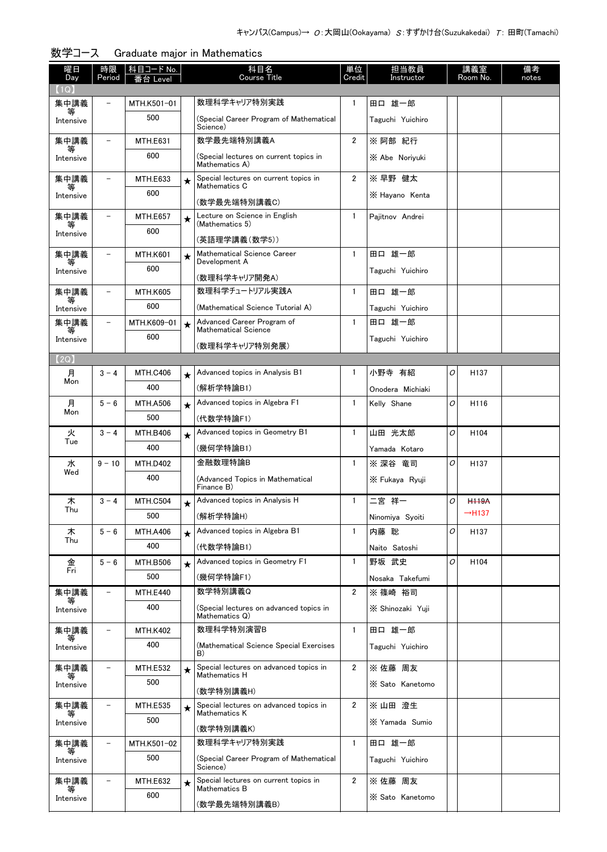| 曜日<br>Day      | 時限<br>Period             | 科目コード No.<br>番台 Level  |         | 科目名<br><b>Course Title</b>                                | 単位<br>Credit   | 担当教員<br>Instructor |   | 講義室<br>Room No.    | 備考<br>notes |
|----------------|--------------------------|------------------------|---------|-----------------------------------------------------------|----------------|--------------------|---|--------------------|-------------|
| (1Q)           |                          |                        |         |                                                           |                |                    |   |                    |             |
| 集中講義           | $\overline{\phantom{0}}$ | MTH.K501-01            |         | 数理科学キャリア特別実践                                              | 1              | 田口 雄一郎             |   |                    |             |
| 等<br>Intensive |                          | 500                    |         | (Special Career Program of Mathematical<br>Science)       |                | Taguchi Yuichiro   |   |                    |             |
| 集中講義           |                          | MTH.E631               |         | 数学最先端特別講義A                                                | $\overline{2}$ | ※ 阿部 紀行            |   |                    |             |
| Intensive      |                          | 600                    |         | (Special lectures on current topics in<br>Mathematics A)  |                | X Abe Noriyuki     |   |                    |             |
| 集中講義           |                          | MTH.E633               | $\star$ | Special lectures on current topics in<br>Mathematics C    | $\overline{2}$ | ※ 早野 健太            |   |                    |             |
| Intensive      |                          | 600                    |         | (数学最先端特別講義C)                                              |                | X Hayano Kenta     |   |                    |             |
| 集中講義<br>等      |                          | <b>MTH.E657</b><br>600 | $\star$ | Lecture on Science in English<br>(Mathematics 5)          | $\mathbf{1}$   | Pajitnov Andrei    |   |                    |             |
| Intensive      |                          |                        |         | (英語理学講義(数学5))                                             |                |                    |   |                    |             |
| 集中講義           |                          | <b>MTH.K601</b>        | $\star$ | Mathematical Science Career<br>Development A              | $\mathbf{1}$   | 田口 雄一郎             |   |                    |             |
| 等<br>Intensive |                          | 600                    |         | (数理科学キャリア開発A)                                             |                | Taguchi Yuichiro   |   |                    |             |
| 集中講義           | $\overline{\phantom{0}}$ | <b>MTH.K605</b>        |         | 数理科学チュートリアル実践A                                            | $\mathbf{1}$   | 田口 雄一郎             |   |                    |             |
| 等<br>Intensive |                          | 600                    |         | (Mathematical Science Tutorial A)                         |                | Taguchi Yuichiro   |   |                    |             |
| 集中講義           | $\overline{\phantom{m}}$ | MTH.K609-01            | $\star$ | Advanced Career Program of<br><b>Mathematical Science</b> | $\mathbf{1}$   | 田口 雄一郎             |   |                    |             |
| 等<br>Intensive |                          | 600                    |         | (数理科学キャリア特別発展)                                            |                | Taguchi Yuichiro   |   |                    |             |
| 【2Q】           |                          |                        |         |                                                           |                |                    |   |                    |             |
| 月              | $3 - 4$                  | <b>MTH.C406</b>        | $\star$ | Advanced topics in Analysis B1                            | 1              | 小野寺 有紹             | O | H <sub>137</sub>   |             |
| Mon            |                          | 400                    |         | (解析学特論B1)                                                 |                | Onodera Michiaki   |   |                    |             |
| 月              | $5 - 6$                  | <b>MTH.A506</b>        | $\star$ | Advanced topics in Algebra F1                             | 1              | Kelly Shane        | O | H116               |             |
| Mon            |                          | 500                    |         | (代数学特論F1)                                                 |                |                    |   |                    |             |
| 火              | $3 - 4$                  | <b>MTH.B406</b>        | $\star$ | Advanced topics in Geometry B1                            | $\mathbf{1}$   | 山田 光太郎             | O | H104               |             |
| Tue            |                          | 400                    |         | (幾何学特論B1)                                                 |                | Yamada Kotaro      |   |                    |             |
| 水              | $9 - 10$                 | <b>MTH.D402</b>        |         | 金融数理特論B                                                   | $\mathbf{1}$   | ※ 深谷 竜司            | 0 | H <sub>137</sub>   |             |
| Wed            |                          | 400                    |         | (Advanced Topics in Mathematical<br>Finance B)            |                | X Fukaya Ryuji     |   |                    |             |
| 木              | $3 - 4$                  | <b>MTH.C504</b>        | $\star$ | Advanced topics in Analysis H                             | $\mathbf{1}$   | 二宮 祥一              | O | <b>H119A</b>       |             |
| Thu            |                          | 500                    |         | (解析学特論H)                                                  |                | Ninomiya Syoiti    |   | $\rightarrow$ H137 |             |
| 木              | $5 - 6$                  | <b>MTH.A406</b>        | $\star$ | Advanced topics in Algebra B1                             | $\mathbf{1}$   | 内藤 聡               | 0 | H137               |             |
| Thu            |                          | 400                    |         | (代数学特論B1)                                                 |                | Naito Satoshi      |   |                    |             |
| 金              | $5 - 6$                  | <b>MTH.B506</b>        | $\star$ | Advanced topics in Geometry F1                            | $\mathbf{1}$   | 野坂 武史              | 0 | H104               |             |
| Fri            |                          | 500                    |         | (幾何学特論F1)                                                 |                | Nosaka Takefumi    |   |                    |             |
| 集中講義           |                          | <b>MTH.E440</b>        |         | 数学特別講義Q                                                   | $\overline{2}$ | ※ 篠崎 裕司            |   |                    |             |
| Intensive      |                          | 400                    |         | (Special lectures on advanced topics in<br>Mathematics Q) |                | X Shinozaki Yuji   |   |                    |             |
| 集中講義           |                          | <b>MTH.K402</b>        |         | 数理科学特別演習B                                                 | $\mathbf{1}$   | 田口 雄一郎             |   |                    |             |
| 等<br>Intensive |                          | 400                    |         | (Mathematical Science Special Exercises<br>B)             |                | Taguchi Yuichiro   |   |                    |             |
| 集中講義           | $\qquad \qquad -$        | <b>MTH.E532</b>        | $\star$ | Special lectures on advanced topics in                    | $\overline{2}$ | ※佐藤 周友             |   |                    |             |
| 等<br>Intensive |                          | 500                    |         | Mathematics H                                             |                | X Sato Kanetomo    |   |                    |             |
|                |                          |                        |         | (数学特別講義H)<br>Special lectures on advanced topics in       | 2              | ※ 山田 澄生            |   |                    |             |
| 集中講義<br>等      |                          | <b>MTH.E535</b><br>500 | ★       | Mathematics K                                             |                |                    |   |                    |             |
| Intensive      |                          |                        |         | (数学特別講義K)                                                 |                | X Yamada Sumio     |   |                    |             |
| 集中講義           |                          | MTH.K501-02            |         | 数理科学キャリア特別実践                                              | 1              | 田口 雄一郎             |   |                    |             |
| 等<br>Intensive |                          | 500                    |         | (Special Career Program of Mathematical<br>Science)       |                | Taguchi Yuichiro   |   |                    |             |
| 集中講義<br>等      |                          | MTH.E632               | $\star$ | Special lectures on current topics in<br>Mathematics B    | $\overline{2}$ | ※佐藤 周友             |   |                    |             |
| Intensive      |                          | 600                    |         | (数学最先端特別講義B)                                              |                | X Sato Kanetomo    |   |                    |             |

#### 数学コース Graduate major in Mathematics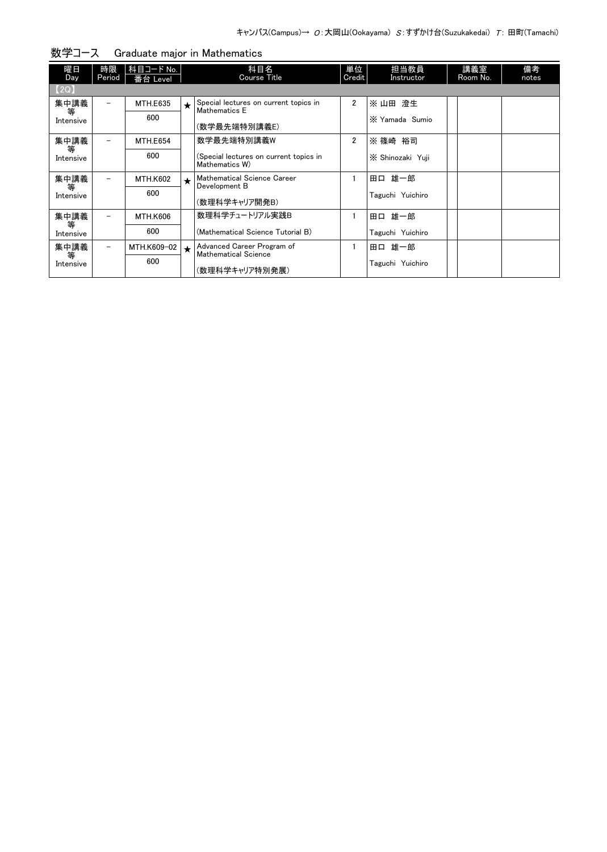| 曜日             | 時限<br>Period             | │科目コード No. │    |            | 科目名<br>Course Title                                      | 単位<br>Credit   | 担当教員<br>Instructor | 講義室<br>Room No. | 備考<br>notes |
|----------------|--------------------------|-----------------|------------|----------------------------------------------------------|----------------|--------------------|-----------------|-------------|
| Day<br>[2Q]    |                          | 番台 Level        |            |                                                          |                |                    |                 |             |
| 集中講義           |                          | <b>MTH.E635</b> | $\star$    | Special lectures on current topics in                    | $\overline{2}$ | ※山田 澄生             |                 |             |
| 等<br>Intensive |                          | 600             |            | <b>Mathematics E</b><br>(数学最先端特別講義E)                     |                | X Yamada Sumio     |                 |             |
| 集中講義           | $\overline{\phantom{0}}$ | <b>MTH.E654</b> |            | 数学最先端特別講義W                                               | $\overline{2}$ | ※ 篠崎 裕司            |                 |             |
| 等<br>Intensive |                          | 600             |            | (Special lectures on current topics in<br>Mathematics W) |                | X Shinozaki Yuji   |                 |             |
| 集中講義           | -                        | <b>MTH.K602</b> | $\star$    | Mathematical Science Career                              |                | 田口 雄一郎             |                 |             |
| 等<br>Intensive |                          | 600             |            | Development B<br>(数理科学キャリア開発B)                           |                | Taguchi Yuichiro   |                 |             |
| 集中講義           | $\overline{\phantom{0}}$ | <b>MTH.K606</b> |            | 数理科学チュートリアル実践B                                           |                | 田口 雄一郎             |                 |             |
| 等<br>Intensive |                          | 600             |            | (Mathematical Science Tutorial B)                        |                | Taguchi Yuichiro   |                 |             |
| 集中講義           | $\qquad \qquad -$        | MTH.K609-02     | $\bigstar$ | Advanced Career Program of<br>Mathematical Science       |                | 田口 雄一郎             |                 |             |
| 等<br>Intensive |                          | 600             |            | (数理科学キャリア特別発展)                                           |                | Taguchi Yuichiro   |                 |             |

数学コース Graduate major in Mathematics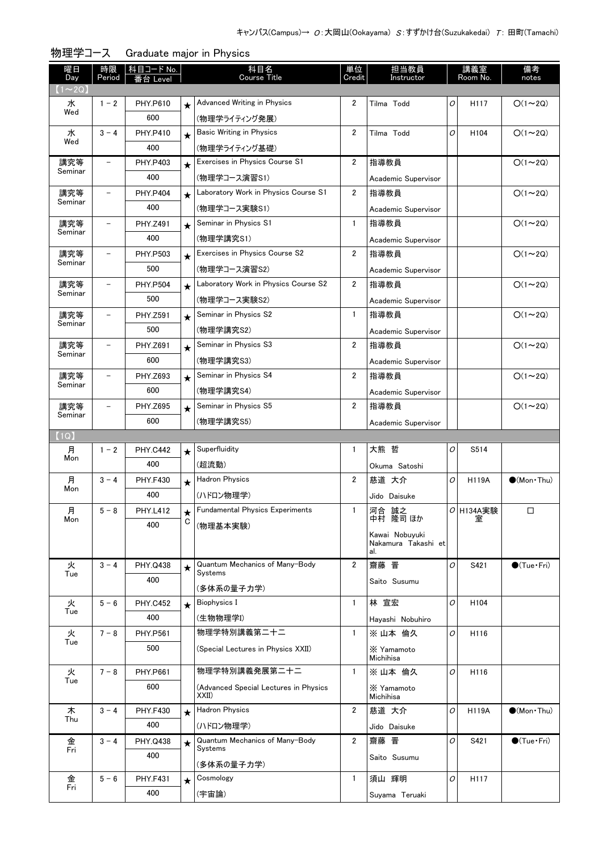| 曜日<br>Day   | 時限<br>Period             | 科目コード No.<br>台 Level |         | 科目名<br>Course Title                       | 単位<br>Credit   | 担当教員<br>Instructor                    |   | 講義室<br>Room No.  | 備考<br>notes            |
|-------------|--------------------------|----------------------|---------|-------------------------------------------|----------------|---------------------------------------|---|------------------|------------------------|
| $(1\sim2Q)$ |                          |                      |         |                                           |                |                                       |   |                  |                        |
| 水           | $1 - 2$                  | <b>PHY.P610</b>      |         | Advanced Writing in Physics               | 2              | Tilma Todd                            | 0 | H <sub>117</sub> | $O(1\sim 2Q)$          |
| Wed         |                          | 600                  |         | (物理学ライティング発展)                             |                |                                       |   |                  |                        |
| 水           | $3 - 4$                  | <b>PHY.P410</b>      | $\star$ | <b>Basic Writing in Physics</b>           | $\overline{2}$ | Tilma Todd                            | O | H <sub>104</sub> | $O(1\sim 2Q)$          |
| Wed         |                          | 400                  |         | (物理学ライティング基礎)                             |                |                                       |   |                  |                        |
| 講究等         | $\qquad \qquad -$        | <b>PHY.P403</b>      | $\star$ | Exercises in Physics Course S1            | $\overline{2}$ | 指導教員                                  |   |                  | $O(1\sim 2Q)$          |
| Seminar     |                          | 400                  |         | (物理学コース演習S1)                              |                | Academic Supervisor                   |   |                  |                        |
| 講究等         | $\overline{\phantom{a}}$ | <b>PHY P404</b>      | $\star$ | Laboratory Work in Physics Course S1      | $\overline{2}$ | 指導教員                                  |   |                  | $O(1\sim 2Q)$          |
| Seminar     |                          | 400                  |         | (物理学コース実験S1)                              |                | Academic Supervisor                   |   |                  |                        |
| 講究等         | $\overline{\phantom{0}}$ | PHY.Z491             | $\star$ | Seminar in Physics S1                     | $\mathbf{1}$   | 指導教員                                  |   |                  | $O(1\sim 2Q)$          |
| Seminar     |                          | 400                  |         | (物理学講究S1)                                 |                | Academic Supervisor                   |   |                  |                        |
| 講究等         |                          | PHY.P503             | $\star$ | Exercises in Physics Course S2            | 2              | 指導教員                                  |   |                  | $O(1\sim 2Q)$          |
| Seminar     |                          | 500                  |         | (物理学コース演習S2)                              |                | Academic Supervisor                   |   |                  |                        |
| 講究等         |                          | <b>PHY.P504</b>      | $\star$ | Laboratory Work in Physics Course S2      | 2              | 指導教員                                  |   |                  | $O(1\sim 2Q)$          |
| Seminar     |                          | 500                  |         | (物理学コース実験S2)                              |                | Academic Supervisor                   |   |                  |                        |
| 講究等         |                          | <b>PHY.Z591</b>      | $\star$ | Seminar in Physics S2                     | 1              | 指導教員                                  |   |                  | $O(1\sim 2Q)$          |
| Seminar     |                          | 500                  |         | (物理学講究S2)                                 |                | Academic Supervisor                   |   |                  |                        |
| 講究等         |                          | PHY.Z691             | $\star$ | Seminar in Physics S3                     | 2              | 指導教員                                  |   |                  | $O(1\sim 2Q)$          |
| Seminar     |                          | 600                  |         | (物理学講究S3)                                 |                | Academic Supervisor                   |   |                  |                        |
| 講究等         |                          | PHY.Z693             | $\star$ | Seminar in Physics S4                     | 2              | 指導教員                                  |   |                  | $O(1\sim 2Q)$          |
| Seminar     |                          | 600                  |         | (物理学講究S4)                                 |                | Academic Supervisor                   |   |                  |                        |
| 講究等         |                          | <b>PHY.Z695</b>      | $\star$ | Seminar in Physics S5                     | 2              | 指導教員                                  |   |                  | $O(1\sim 2Q)$          |
| Seminar     |                          | 600                  |         | (物理学講究S5)                                 |                | Academic Supervisor                   |   |                  |                        |
| (1Q)        |                          |                      |         |                                           |                |                                       |   |                  |                        |
| 月           | $1 - 2$                  | <b>PHY.C442</b>      | ★       | Superfluidity                             | 1              | 大熊 哲                                  | 0 | S514             |                        |
| Mon         |                          | 400                  |         | (超流動)                                     |                | Okuma Satoshi                         |   |                  |                        |
| 月           | $3 - 4$                  | <b>PHY.F430</b>      | $\star$ | <b>Hadron Physics</b>                     | 2              | 慈道 大介                                 | 0 | <b>H119A</b>     | $\bigcirc$ (Mon Thu)   |
| Mon         |                          | 400                  |         | (ハドロン物理学)                                 |                | Jido Daisuke                          |   |                  |                        |
| 月           | $5 - 8$                  | <b>PHY.L412</b>      | $\star$ | <b>Fundamental Physics Experiments</b>    | 1              | 河合 誠之                                 |   | $O H134A$ 実験     | □                      |
| Mon         |                          | 400                  | С       | (物理基本実験)                                  |                | 中村 隆司 ほか                              |   | 室                |                        |
|             |                          |                      |         |                                           |                | Kawai Nobuyuki<br>Nakamura Takashi et |   |                  |                        |
|             |                          |                      |         |                                           |                | al.                                   |   |                  |                        |
| 火<br>Tue    | $3 - 4$                  | <b>PHY.Q438</b>      | $\star$ | Quantum Mechanics of Many-Body<br>Systems | $\overline{2}$ | 齋藤 晋                                  | 0 | S421             | $\bigcirc$ (Tue·Fri)   |
|             |                          | 400                  |         | (多体系の量子力学)                                |                | Saito Susumu                          |   |                  |                        |
| 火           | $5 - 6$                  | <b>PHY.C452</b>      | $\star$ | Biophysics I                              | 1              | 林 宣宏                                  | 0 | H <sub>104</sub> |                        |
| Tue         |                          | 400                  |         | (生物物理学I)                                  |                | Hayashi Nobuhiro                      |   |                  |                        |
| 火           | $7 - 8$                  | <b>PHY.P561</b>      |         | 物理学特別講義第二十二                               | $\mathbf{1}$   | ※ 山本 倫久                               | 0 | H116             |                        |
| Tue         |                          | 500                  |         | (Special Lectures in Physics XXII)        |                | X Yamamoto                            |   |                  |                        |
|             |                          |                      |         |                                           |                | Michihisa                             |   |                  |                        |
| 火<br>Tue    | $7 - 8$                  | <b>PHY.P661</b>      |         | 物理学特別講義発展第二十二                             | 1              | ※山本 倫久                                | 0 | H116             |                        |
|             |                          | 600                  |         | (Advanced Special Lectures in Physics     |                | X Yamamoto                            |   |                  |                        |
|             |                          | <b>PHY.F430</b>      |         | XXII)<br><b>Hadron Physics</b>            | $\overline{2}$ | Michihisa<br>慈道 大介                    | 0 | <b>H119A</b>     | $\bullet$ (Mon Thu)    |
| 木<br>Thu    | $3 - 4$                  | 400                  | $\star$ | (ハドロン物理学)                                 |                |                                       |   |                  |                        |
|             |                          |                      |         | Quantum Mechanics of Many-Body            | $\overline{2}$ | Jido Daisuke                          |   |                  |                        |
| 金<br>Fri    | $3 - 4$                  | PHY.Q438             | $\star$ | Systems                                   |                | 齋藤 晋                                  | 0 | S421             | $\bigcirc$ (Tue · Fri) |
|             |                          | 400                  |         | (多体系の量子力学)                                |                | Saito Susumu                          |   |                  |                        |
| 金           | $5 - 6$                  | <b>PHY.F431</b>      | $\star$ | Cosmology                                 | 1              | 須山 輝明                                 | 0 | H117             |                        |
| Fri         |                          | 400                  |         | (宇宙論)                                     |                | Suyama Teruaki                        |   |                  |                        |

### 物理学コース Graduate major in Physics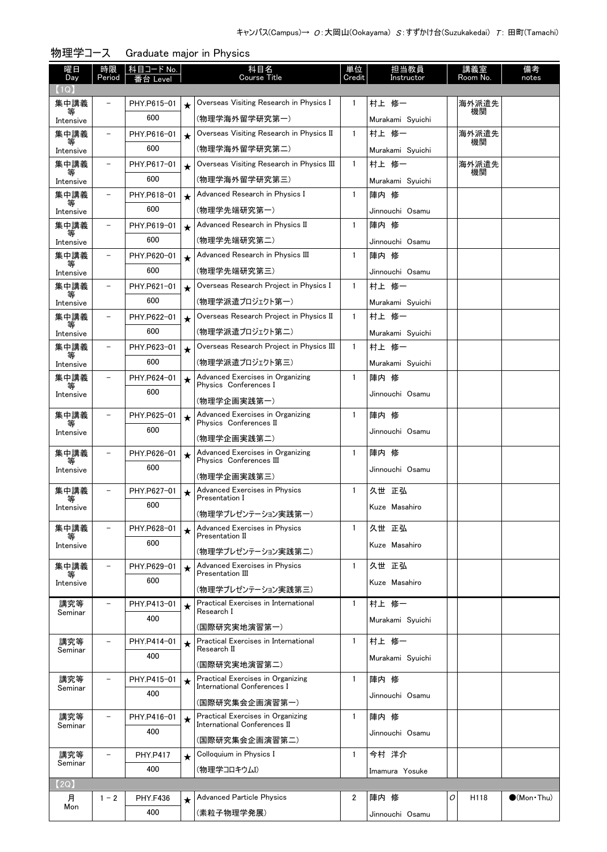| 曜日<br>Day      | 時限<br>Period             | 科目コード No.  <br>台 I evel |         | 科目名<br><b>Course Title</b>                                       | 単位<br>Credit | 担当教員<br>Instructor |   | 講義室<br>Room No. | 備考<br>notes                 |
|----------------|--------------------------|-------------------------|---------|------------------------------------------------------------------|--------------|--------------------|---|-----------------|-----------------------------|
| (1Q)           |                          |                         |         |                                                                  |              |                    |   |                 |                             |
| 集中講義           | $\overline{\phantom{0}}$ | PHY.P615-01             | $\star$ | Overseas Visiting Research in Physics I                          | 1            | 村上 修一              |   | 海外派遣先           |                             |
| 等<br>Intensive |                          | 600                     |         | (物理学海外留学研究第一)                                                    |              | Murakami Syuichi   |   | 機関              |                             |
| 集中講義           | $\qquad \qquad -$        | PHY.P616-01             | $\star$ | Overseas Visiting Research in Physics II                         | $\mathbf{1}$ | 村上 修一              |   | 海外派遣先           |                             |
| 等<br>Intensive |                          | 600                     |         | (物理学海外留学研究第二)                                                    |              | Murakami Syuichi   |   | 機関              |                             |
| 集中講義           | $\overline{\phantom{a}}$ | PHY.P617-01             | $\star$ | Overseas Visiting Research in Physics III                        | $\mathbf{1}$ | 村上 修一              |   | 海外派遣先           |                             |
| 等<br>Intensive |                          | 600                     |         | (物理学海外留学研究第三)                                                    |              | Murakami Syuichi   |   | 機関              |                             |
| 集中講義<br>等      | $\overline{\phantom{a}}$ | PHY.P618-01             | $\star$ | Advanced Research in Physics I                                   | $\mathbf{1}$ | 陣内 修               |   |                 |                             |
| Intensive      |                          | 600                     |         | (物理学先端研究第一)                                                      |              | Jinnouchi Osamu    |   |                 |                             |
| 集中講義<br>等      | $\overline{\phantom{m}}$ | PHY.P619-01             | $\star$ | Advanced Research in Physics II                                  | 1            | 陣内 修               |   |                 |                             |
| Intensive      |                          | 600                     |         | (物理学先端研究第二)                                                      |              | Jinnouchi Osamu    |   |                 |                             |
| 集中講義<br>等      | $\qquad \qquad -$        | PHY.P620-01             | $\star$ | Advanced Research in Physics III                                 | 1            | 陣内 修               |   |                 |                             |
| Intensive      |                          | 600                     |         | (物理学先端研究第三)                                                      |              | Jinnouchi Osamu    |   |                 |                             |
| 集中講義<br>等      | $\overline{\phantom{m}}$ | PHY.P621-01             | $\star$ | Overseas Research Project in Physics I                           | $\mathbf{1}$ | 村上 修一              |   |                 |                             |
| Intensive      |                          | 600                     |         | (物理学派遣プロジェクト第一)                                                  |              | Murakami Syuichi   |   |                 |                             |
| 集中講義<br>等      | $\qquad \qquad -$        | PHY.P622-01             | $\star$ | Overseas Research Project in Physics II                          | $\mathbf{1}$ | 村上 修一              |   |                 |                             |
| Intensive      |                          | 600                     |         | (物理学派遣プロジェクト第二)                                                  |              | Murakami Syuichi   |   |                 |                             |
| 集中講義<br>等      | $\qquad \qquad -$        | PHY.P623-01             | $\star$ | Overseas Research Project in Physics III                         | $\mathbf{1}$ | 村上 修一              |   |                 |                             |
| Intensive      |                          | 600                     |         | (物理学派遣ブロジェクト第三)                                                  |              | Murakami Syuichi   |   |                 |                             |
| 集中講義<br>等      | $\overline{\phantom{0}}$ | PHY.P624-01             | $\star$ | Advanced Exercises in Organizing<br>Physics Conferences I        | 1            | 陣内 修               |   |                 |                             |
| Intensive      |                          | 600                     |         | (物理学企画実践第一)                                                      |              | Jinnouchi Osamu    |   |                 |                             |
| 集中講義           |                          | PHY.P625-01             | ★       | Advanced Exercises in Organizing                                 | 1            | 陣内 修               |   |                 |                             |
| Intensive      |                          | 600                     |         | Physics Conferences II                                           |              | Jinnouchi Osamu    |   |                 |                             |
| 集中講義           |                          | PHY.P626-01             |         | (物理学企画実践第二)<br>Advanced Exercises in Organizing                  | 1            | 陣内 修               |   |                 |                             |
|                |                          | 600                     | $\star$ | Physics Conferences III                                          |              | Jinnouchi Osamu    |   |                 |                             |
| Intensive      |                          |                         |         | (物理学企画実践第三)                                                      |              |                    |   |                 |                             |
| 集中講義           |                          | PHY.P627-01             | $\star$ | <b>Advanced Exercises in Physics</b><br>Presentation I           | $\mathbf{1}$ | 久世 正弘              |   |                 |                             |
| Intensive      |                          | 600                     |         | (物理学プレゼンテーション実践第一)                                               |              | Kuze Masahiro      |   |                 |                             |
| 集中講義           | $\overline{\phantom{m}}$ | PHY.P628-01             | ★       | Advanced Exercises in Physics                                    | $\mathbf{1}$ | 久世 正弘              |   |                 |                             |
| Intensive      |                          | 600                     |         | Presentation II                                                  |              | Kuze Masahiro      |   |                 |                             |
|                |                          |                         |         | (物理学プレゼンテーション実践第二)                                               |              |                    |   |                 |                             |
| 集中講義<br>等      | $\overline{\phantom{a}}$ | PHY.P629-01             | $\star$ | Advanced Exercises in Physics<br>Presentation III                | $\mathbf{1}$ | 久世 正弘              |   |                 |                             |
| Intensive      |                          | 600                     |         | (物理学プレゼンテーション実践第三)                                               |              | Kuze Masahiro      |   |                 |                             |
| 講究等            |                          | PHY.P413-01             | $\star$ | Practical Exercises in International<br>Research I               | $\mathbf{1}$ | 村上 修一              |   |                 |                             |
| Seminar        |                          | 400                     |         | (国際研究実地演習第一)                                                     |              | Murakami Syuichi   |   |                 |                             |
| 講究等            |                          | PHY.P414-01             | $\star$ | Practical Exercises in International                             | $\mathbf{1}$ | 村上 修一              |   |                 |                             |
| Seminar        |                          | 400                     |         | Research II                                                      |              | Murakami Syuichi   |   |                 |                             |
|                |                          |                         |         | (国際研究実地演習第二)                                                     |              |                    |   |                 |                             |
| 講究等<br>Seminar |                          | PHY.P415-01             | $\star$ | Practical Exercises in Organizing<br>International Conferences I | $\mathbf{1}$ | 陣内 修               |   |                 |                             |
|                |                          | 400                     |         | (国際研究集会企画演習第一)                                                   |              | Jinnouchi Osamu    |   |                 |                             |
| 講究等            | $\overline{\phantom{0}}$ | PHY.P416-01             | $\star$ | Practical Exercises in Organizing                                | $\mathbf{1}$ | 陣内 修               |   |                 |                             |
| Seminar        |                          | 400                     |         | International Conferences II                                     |              | Jinnouchi Osamu    |   |                 |                             |
|                |                          |                         |         | (国際研究集会企画演習第二)<br>Colloquium in Physics I                        | $\mathbf{1}$ | 今村 洋介              |   |                 |                             |
| 講究等<br>Seminar |                          | <b>PHY P417</b><br>400  | $\star$ |                                                                  |              |                    |   |                 |                             |
| (2Q)           |                          |                         |         | (物理学コロキウムI)                                                      |              | Imamura Yosuke     |   |                 |                             |
| 月              | $1 - 2$                  | <b>PHY F436</b>         | $\star$ | <b>Advanced Particle Physics</b>                                 | 2            | 陣内 修               | 0 | H118            | $\bullet$ (Mon $\cdot$ Thu) |
| Mon            |                          | 400                     |         | (素粒子物理学発展)                                                       |              | Jinnouchi Osamu    |   |                 |                             |
|                |                          |                         |         |                                                                  |              |                    |   |                 |                             |

### 物理学コース Graduate major in Physics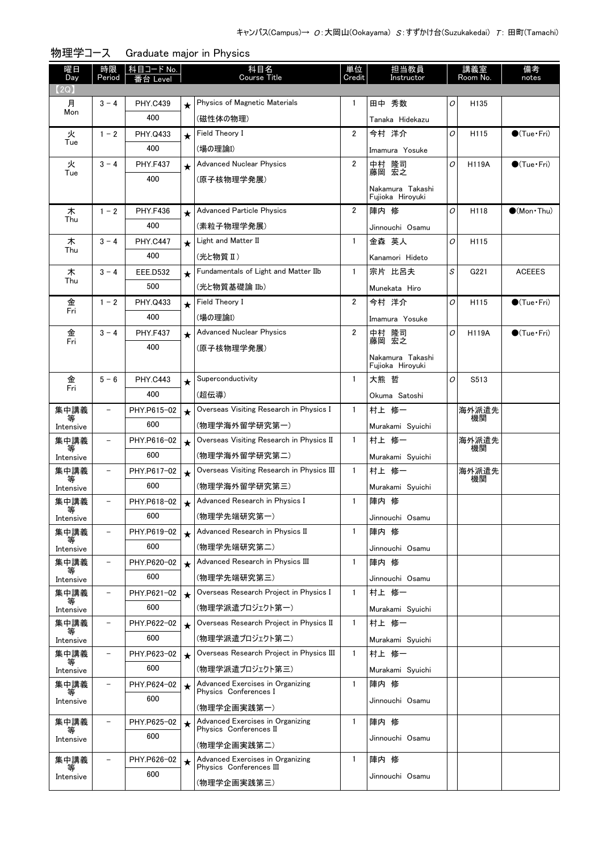| 曜日<br>Day         | 時限<br>Period             | 科目コード No.<br>番台 Level |         | 科目名<br><b>Course Title</b>                                  | 単位<br>Credit   | 担当教員<br>Instructor                   |   | 講義室<br>Room No.  | 備考<br>notes                 |
|-------------------|--------------------------|-----------------------|---------|-------------------------------------------------------------|----------------|--------------------------------------|---|------------------|-----------------------------|
| 2Q)               |                          |                       |         |                                                             |                |                                      |   |                  |                             |
| 月                 | $3 - 4$                  | <b>PHY.C439</b>       | $\star$ | <b>Physics of Magnetic Materials</b>                        | $\mathbf{1}$   | 田中 秀数                                | 0 | H <sub>135</sub> |                             |
| Mon               |                          | 400                   |         | (磁性体の物理)                                                    |                | Tanaka Hidekazu                      |   |                  |                             |
| 火                 | $1 - 2$                  | PHY.Q433              | $\star$ | Field Theory I                                              | 2              | 今村 洋介                                | 0 | H <sub>115</sub> | $\bigcirc$ (Tue · Fri)      |
| Tue               |                          | 400                   |         | (場の理論I)                                                     |                | Imamura Yosuke                       |   |                  |                             |
| 火                 | $3 - 4$                  | <b>PHY F437</b>       | $\star$ | <b>Advanced Nuclear Physics</b>                             | $\overline{2}$ | 中村 隆司                                | 0 | <b>H119A</b>     | $\bullet$ (Tue $\cdot$ Fri) |
| Tue               |                          | 400                   |         | (原子核物理学発展)                                                  |                | 藤岡 宏之                                |   |                  |                             |
|                   |                          |                       |         |                                                             |                | Nakamura Takashi<br>Fujioka Hiroyuki |   |                  |                             |
| 木<br>Thu          | $1 - 2$                  | <b>PHY.F436</b>       | $\star$ | <b>Advanced Particle Physics</b>                            | $\overline{2}$ | 陣内 修                                 | 0 | H118             | $\bullet$ (Mon Thu)         |
|                   |                          | 400                   |         | (素粒子物理学発展)                                                  |                | Jinnouchi Osamu                      |   |                  |                             |
| 木<br>Thu          | $3 - 4$                  | <b>PHY.C447</b>       | $\star$ | Light and Matter II                                         | $\mathbf{1}$   | 金森 英人                                | 0 | H115             |                             |
|                   |                          | 400                   |         | (光と物質Ⅱ)                                                     |                | Kanamori Hideto                      |   |                  |                             |
| 木<br>Thu          | $3 - 4$                  | <b>EEE.D532</b>       | $\star$ | Fundamentals of Light and Matter IIb                        | $\mathbf{1}$   | 宗片 比呂夫                               | S | G221             | <b>ACEEES</b>               |
|                   |                          | 500                   |         | (光と物質基礎論 IIb)                                               |                | Munekata Hiro                        |   |                  |                             |
| 金<br>Fri          | $1 - 2$                  | PHY.Q433              | $\star$ | Field Theory I                                              | 2              | 今村 洋介                                | 0 | H115             | $\bigcirc$ (Tue · Fri)      |
|                   |                          | 400                   |         | (場の理論I)                                                     |                | Imamura Yosuke                       |   |                  |                             |
| 金<br>Fri          | $3 - 4$                  | <b>PHY.F437</b>       | $\star$ | <b>Advanced Nuclear Physics</b>                             | 2              | 中村 隆司<br>藤岡 宏之                       | 0 | <b>H119A</b>     | $\bigcirc$ (Tue · Fri)      |
|                   |                          | 400                   |         | (原子核物理学発展)                                                  |                | Nakamura Takashi                     |   |                  |                             |
|                   |                          |                       |         |                                                             |                | Fujioka Hiroyuki                     |   |                  |                             |
| 金<br>Fri          | $5 - 6$                  | <b>PHY.C443</b>       | $\star$ | Superconductivity                                           | $\mathbf{1}$   | 大熊 哲                                 | 0 | S513             |                             |
|                   |                          | 400                   |         | (超伝導)                                                       |                | Okuma Satoshi                        |   |                  |                             |
| 集中講義<br>等         | $\overline{\phantom{0}}$ | PHY.P615-02           | $\star$ | Overseas Visiting Research in Physics I                     | $\mathbf{1}$   | 村上 修一                                |   | 海外派遣先<br>機関      |                             |
| Intensive         |                          | 600                   |         | (物理学海外留学研究第一)                                               |                | Murakami Syuichi                     |   |                  |                             |
| 集中講義<br>等         | -                        | PHY.P616-02           | $\star$ | Overseas Visiting Research in Physics II                    | $\mathbf{1}$   | 村上 修一                                |   | 海外派遣先<br>機関      |                             |
| Intensive         |                          | 600                   |         | (物理学海外留学研究第二)                                               |                | Murakami Syuichi                     |   |                  |                             |
| 集中講義              | $\qquad \qquad -$        | PHY.P617-02<br>600    | $\star$ | Overseas Visiting Research in Physics III                   | $\mathbf{1}$   | 村上 修一                                |   | 海外派遣先<br>機関      |                             |
| Intensive         | $\qquad \qquad -$        |                       |         | (物理学海外留学研究第三)<br>Advanced Research in Physics I             | $\mathbf{1}$   | Murakami Syuichi                     |   |                  |                             |
| 集中講義<br>等         |                          | PHY.P618-02<br>600    | $\star$ | (物理学先端研究第一)                                                 |                | 陣内 修                                 |   |                  |                             |
| Intensive<br>集中講義 | $\overline{\phantom{0}}$ | PHY.P619-02           |         | Advanced Research in Physics II                             | $\mathbf{1}$   | Jinnouchi Osamu<br>陣内 修              |   |                  |                             |
|                   |                          | 600                   | $\star$ | (物理学先端研究第二)                                                 |                | Jinnouchi Osamu                      |   |                  |                             |
| Intensive<br>集中講義 | $\qquad \qquad -$        | PHY.P620-02           | $\star$ | Advanced Research in Physics III                            | 1              | 陣内 修                                 |   |                  |                             |
| 等<br>Intensive    |                          | 600                   |         | (物理学先端研究第三)                                                 |                | Jinnouchi Osamu                      |   |                  |                             |
| 集中講義              | $\overline{\phantom{0}}$ | PHY.P621-02           | $\star$ | Overseas Research Project in Physics I                      | $\mathbf{1}$   | 村上 修一                                |   |                  |                             |
| 等<br>Intensive    |                          | 600                   |         | (物理学派遣プロジェクト第一)                                             |                | Murakami Syuichi                     |   |                  |                             |
| 集中講義              | $\qquad \qquad -$        | PHY.P622-02           | $\star$ | Overseas Research Project in Physics II                     | 1              | 村上 修一                                |   |                  |                             |
| 等<br>Intensive    |                          | 600                   |         | (物理学派遣プロジェクト第二)                                             |                | Murakami Syuichi                     |   |                  |                             |
| 集中講義              | $\qquad \qquad -$        | PHY.P623-02           | $\star$ | Overseas Research Project in Physics III                    | 1              | 村上 修一                                |   |                  |                             |
| Intensive         |                          | 600                   |         | (物理学派遣プロジェクト第三)                                             |                | Murakami Syuichi                     |   |                  |                             |
| 集中講義              | $\overline{\phantom{0}}$ | PHY.P624-02           | $\star$ | Advanced Exercises in Organizing                            | 1              | 陣内 修                                 |   |                  |                             |
| Intensive         |                          | 600                   |         | Physics Conferences I                                       |                | Jinnouchi Osamu                      |   |                  |                             |
| 集中講義              |                          | PHY.P625-02           |         | (物理学企画実践第一)<br>Advanced Exercises in Organizing             | $\mathbf{1}$   | 陣内 修                                 |   |                  |                             |
| 等                 |                          | 600                   | $\star$ | Physics Conferences II                                      |                | Jinnouchi Osamu                      |   |                  |                             |
| Intensive         |                          |                       |         | (物理学企画実践第二)                                                 |                |                                      |   |                  |                             |
| 集中講義              |                          | PHY.P626-02           | $\star$ | Advanced Exercises in Organizing<br>Physics Conferences III | $\mathbf{1}$   | 陣内 修                                 |   |                  |                             |
| Intensive         |                          | 600                   |         | (物理学企画実践第三)                                                 |                | Jinnouchi Osamu                      |   |                  |                             |
|                   |                          |                       |         |                                                             |                |                                      |   |                  |                             |

物理学コース Graduate major in Physics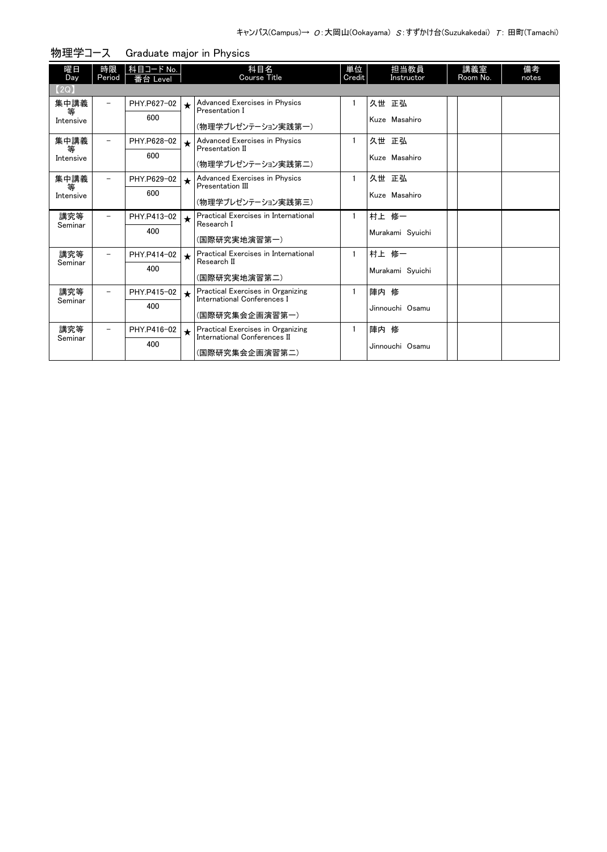| 曜日                     | 時限                       | 科目コード No.          |            | 科目名<br><b>Course Title</b>                                                          | 単位     | 担当教員                      | 講義室      | 備考    |
|------------------------|--------------------------|--------------------|------------|-------------------------------------------------------------------------------------|--------|---------------------------|----------|-------|
| Day<br>(2Q)            | Period                   | 番台 Level           |            |                                                                                     | Credit | Instructor                | Room No. | notes |
| 集中講義<br>等<br>Intensive |                          | PHY.P627-02<br>600 | $\star$    | Advanced Exercises in Physics<br>Presentation I<br>(物理学プレゼンテーション実践第一)               |        | 久世 正弘<br>Kuze Masahiro    |          |       |
| 集中講義<br>等<br>Intensive | Ξ.                       | PHY.P628-02<br>600 | $\star$    | Advanced Exercises in Physics<br>Presentation II<br>(物理学プレゼンテーション実践第二)              |        | 久世 正弘<br>Kuze Masahiro    |          |       |
| 集中講義<br>等<br>Intensive | $\overline{\phantom{0}}$ | PHY.P629-02<br>600 | $\bigstar$ | Advanced Exercises in Physics<br>Presentation III<br>(物理学プレゼンテーション実践第三)             |        | 久世 正弘<br>Kuze Masahiro    |          |       |
| 講究等<br>Seminar         | -                        | PHY.P413-02<br>400 | $\star$    | Practical Exercises in International<br>Research I<br>(国際研究実地演習第一)                  |        | 村上 修一<br>Murakami Syuichi |          |       |
| 講究等<br>Seminar         | -                        | PHY.P414-02<br>400 | $\bigstar$ | Practical Exercises in International<br>Research II<br>(国際研究実地演習第二)                 |        | 村上 修一<br>Murakami Syuichi |          |       |
| 講究等<br>Seminar         |                          | PHY.P415-02<br>400 | $\star$    | Practical Exercises in Organizing<br>International Conferences I<br>(国際研究集会企画演習第一)  |        | 陣内 修<br>Jinnouchi Osamu   |          |       |
| 講究等<br>Seminar         | -                        | PHY.P416-02<br>400 | $\star$    | Practical Exercises in Organizing<br>International Conferences II<br>(国際研究集会企画演習第二) |        | 陣内 修<br>Jinnouchi Osamu   |          |       |

| 物理学コース | Graduate major in Physics |  |
|--------|---------------------------|--|
|        |                           |  |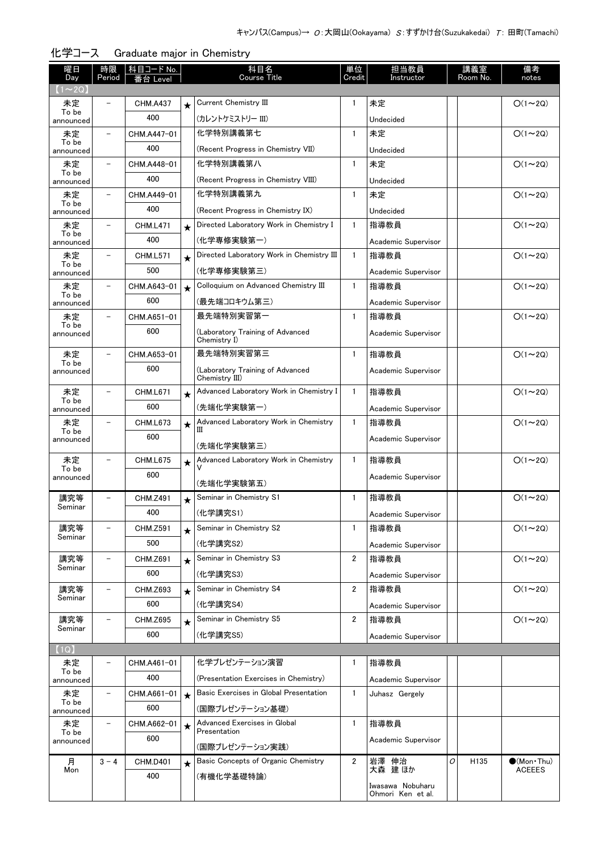| 曜日<br>Day          | 時限<br>Period | 科目コード No.          |            | 科目名<br><b>Course Title</b>                       | 単位<br>Credit   | 担当教員<br>Instructor                    |   | 講義室<br>Room No. | 備考<br>notes                       |
|--------------------|--------------|--------------------|------------|--------------------------------------------------|----------------|---------------------------------------|---|-----------------|-----------------------------------|
| $(1 \sim 2Q)$      |              | 备 Level            |            |                                                  |                |                                       |   |                 |                                   |
| 未定                 |              | <b>CHM.A437</b>    | $\star$    | Current Chemistry III                            | 1              | 未定                                    |   |                 | $O(1\sim 2Q)$                     |
| To be<br>announced |              | 400                |            | (カレントケミストリー III)                                 |                | Undecided                             |   |                 |                                   |
| 未定                 |              | CHM.A447-01        |            | 化学特別講義第七                                         | 1              | 未定                                    |   |                 | $O(1\sim 2Q)$                     |
| To be<br>announced |              | 400                |            | (Recent Progress in Chemistry VII)               |                | Undecided                             |   |                 |                                   |
| 未定                 |              | CHM.A448-01        |            | 化学特別講義第八                                         | $\mathbf{1}$   | 未定                                    |   |                 | $O(1\sim 2Q)$                     |
| To be<br>announced |              | 400                |            | (Recent Progress in Chemistry VIII)              |                | Undecided                             |   |                 |                                   |
| 未定                 |              | CHM.A449-01        |            | 化学特別講義第九                                         | $\mathbf{1}$   | 未定                                    |   |                 | $O(1\sim 2Q)$                     |
| To be<br>announced |              | 400                |            | (Recent Progress in Chemistry IX)                |                | Undecided                             |   |                 |                                   |
| 未定                 |              | <b>CHM.L471</b>    | $\star$    | Directed Laboratory Work in Chemistry I          | $\mathbf{1}$   | 指導教員                                  |   |                 | $O(1\sim 2Q)$                     |
| To be<br>announced |              | 400                |            | (化学専修実験第一)                                       |                | Academic Supervisor                   |   |                 |                                   |
| 未定                 |              | <b>CHM.L571</b>    | $\star$    | Directed Laboratory Work in Chemistry III        | $\mathbf{1}$   | 指導教員                                  |   |                 | $O(1\sim 2Q)$                     |
| To be<br>announced |              | 500                |            | (化学専修実験第三)                                       |                | Academic Supervisor                   |   |                 |                                   |
| 未定                 |              | CHM.A643-01        | $\bigstar$ | Colloquium on Advanced Chemistry III             | $\mathbf{1}$   | 指導教員                                  |   |                 | $O(1\sim 2Q)$                     |
| To be<br>announced |              | 600                |            | (最先端コロキウム第三)                                     |                | Academic Supervisor                   |   |                 |                                   |
| 未定                 |              | CHM.A651-01        |            | 最先端特別実習第一                                        | $\mathbf{1}$   | 指導教員                                  |   |                 | $O(1\sim 2Q)$                     |
| To be<br>announced |              | 600                |            | (Laboratory Training of Advanced<br>Chemistry I) |                | Academic Supervisor                   |   |                 |                                   |
| 未定                 |              | CHM.A653-01        |            | 最先端特別実習第三                                        | $\mathbf{1}$   | 指導教員                                  |   |                 | $O(1\sim 2Q)$                     |
| To be<br>announced |              | 600                |            | (Laboratory Training of Advanced                 |                | Academic Supervisor                   |   |                 |                                   |
|                    |              |                    |            | Chemistry III)                                   |                |                                       |   |                 |                                   |
| 未定<br>To be        |              | CHM.L671           | $\star$    | Advanced Laboratory Work in Chemistry I          | $\mathbf{1}$   | 指導教員                                  |   |                 | $O(1\sim 2Q)$                     |
| announced          |              | 600                |            | (先端化学実験第一)                                       |                | Academic Supervisor                   |   |                 |                                   |
| 未定<br>To be        |              | CHM.L673           | $\star$    | Advanced Laboratory Work in Chemistry<br>Ш       | $\mathbf{1}$   | 指導教員                                  |   |                 | $O(1\sim 2Q)$                     |
| announced          |              | 600                |            | (先端化学実験第三)                                       |                | Academic Supervisor                   |   |                 |                                   |
| 未定                 |              | <b>CHM.L675</b>    | $\star$    | Advanced Laboratory Work in Chemistry            | $\mathbf{1}$   | 指導教員                                  |   |                 | $O(1\sim 2Q)$                     |
| To be<br>announced |              | 600                |            |                                                  |                | Academic Supervisor                   |   |                 |                                   |
|                    |              |                    |            | (先端化学実験第五)                                       |                |                                       |   |                 |                                   |
| 講究等<br>Seminar     |              | <b>CHM.Z491</b>    | $\star$    | Seminar in Chemistry S1                          | $\mathbf{1}$   | 指導教員                                  |   |                 | $O(1\sim 2Q)$                     |
|                    |              | 400                |            | (化学講究S1)                                         |                | Academic Supervisor                   |   |                 |                                   |
| 講究等<br>Seminar     |              | CHM.Z591           |            | Seminar in Chemistry S2                          | $\mathbf{1}$   | 指導教員                                  |   |                 | $O(1\sim 2Q)$                     |
|                    |              | 500                |            | (化学講究S2)                                         |                | Academic Supervisor                   |   |                 |                                   |
| 講究等<br>Seminar     |              | <b>CHM.Z691</b>    | $\star$    | Seminar in Chemistry S3                          | 2              | 指導教員                                  |   |                 | $O(1\sim 2Q)$                     |
|                    |              | 600                |            | (化学講究S3)                                         |                | Academic Supervisor                   |   |                 |                                   |
| 講究等<br>Seminar     |              | CHM.Z693           | $\bigstar$ | Seminar in Chemistry S4                          | 2              | 指導教員                                  |   |                 | $O(1\sim 2Q)$                     |
|                    |              | 600                |            | (化学講究S4)                                         |                | Academic Supervisor                   |   |                 |                                   |
| 講究等<br>Seminar     |              | <b>CHM.Z695</b>    | $\star$    | Seminar in Chemistry S5                          | 2              | 指導教員                                  |   |                 | $O(1\sim 2Q)$                     |
|                    |              | 600                |            | (化学講究S5)                                         |                | Academic Supervisor                   |   |                 |                                   |
| (1Q)               |              |                    |            | 化学ブレゼンテーション演習                                    |                |                                       |   |                 |                                   |
| 未定<br>To be        |              | CHM.A461-01<br>400 |            | (Presentation Exercises in Chemistry)            | 1              | 指導教員                                  |   |                 |                                   |
| announced<br>未定    |              |                    |            | Basic Exercises in Global Presentation           | $\mathbf{1}$   | Academic Supervisor<br>Juhasz Gergely |   |                 |                                   |
| To be              |              | CHM.A661-01<br>600 | $\star$    | (国際プレゼンテーション基礎)                                  |                |                                       |   |                 |                                   |
| announced<br>未定    |              | CHM.A662-01        |            | Advanced Exercises in Global                     | $\mathbf{1}$   | 指導教員                                  |   |                 |                                   |
| To be              |              | 600                | $\star$    | Presentation                                     |                |                                       |   |                 |                                   |
| announced          |              |                    |            | (国際プレゼンテーション実践)                                  |                | Academic Supervisor                   |   |                 |                                   |
| 月<br>Mon           | $3 - 4$      | <b>CHM.D401</b>    | $\star$    | Basic Concepts of Organic Chemistry              | $\overline{2}$ | 岩澤 伸治<br>大森 建ほか                       | O | H135            | $(Mon\cdot Thu)$<br><b>ACEEES</b> |
|                    |              | 400                |            | (有機化学基礎特論)                                       |                |                                       |   |                 |                                   |
|                    |              |                    |            |                                                  |                | Iwasawa Nobuharu<br>Ohmori Ken et al. |   |                 |                                   |

### 化学コース Graduate major in Chemistry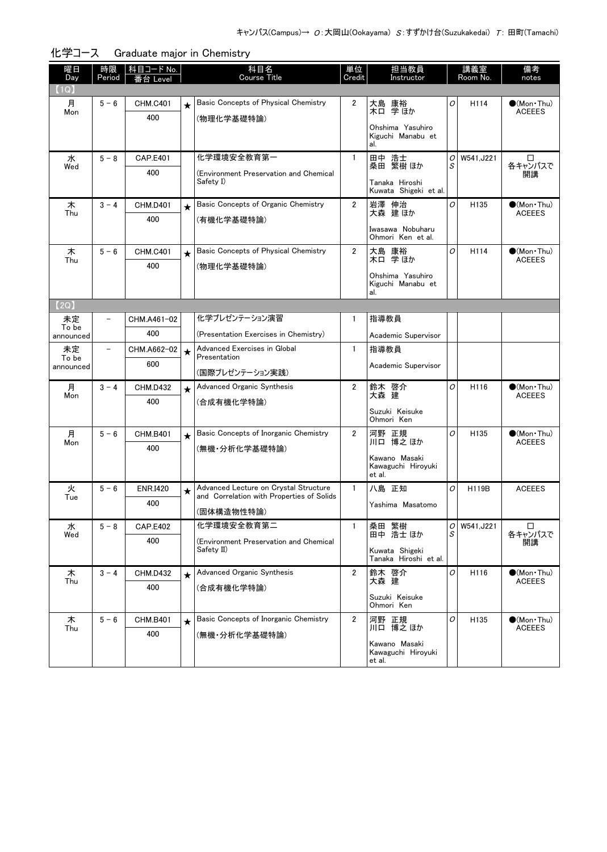| 曜日<br>Day          | 時限<br>Period             | 科目コード No.<br>台 I evel |          | 科目名<br><b>Course Title</b>                                                         | 単位<br>Credit   | 担当教員<br>Instructor                            |        | 講義室<br>Room No.  | 備考<br>notes                            |
|--------------------|--------------------------|-----------------------|----------|------------------------------------------------------------------------------------|----------------|-----------------------------------------------|--------|------------------|----------------------------------------|
| (1Q)               |                          |                       |          |                                                                                    |                |                                               |        |                  |                                        |
| 月<br>Mon           | $5 - 6$                  | <b>CHM.C401</b>       | $\star$  | Basic Concepts of Physical Chemistry                                               | $\overline{2}$ | 大島 康裕<br>- 六口 学 ほか                            | 0      | H114             | $\bullet$ (Mon · Thu)<br><b>ACEEES</b> |
|                    |                          | 400                   |          | (物理化学基礎特論)                                                                         |                | Ohshima Yasuhiro<br>Kiguchi Manabu et<br>al.  |        |                  |                                        |
| 水                  | $5 - 8$                  | <b>CAP.E401</b>       |          | 化学環境安全教育第一                                                                         | $\mathbf{1}$   | 田中 浩士<br>桑田 繁樹 ほか                             | 0      | W541, J221       | □                                      |
| Wed                |                          | 400                   |          | (Environment Preservation and Chemical<br>Safety I)                                |                | Tanaka Hiroshi<br>Kuwata Shigeki et al.       | S      |                  | 各キャンパスで<br>開講                          |
| 木                  | $3 - 4$                  | <b>CHM.D401</b>       | $\star$  | Basic Concepts of Organic Chemistry                                                | $\overline{2}$ | 岩澤 伸治<br>大森 建ほか                               | 0      | H135             | $\bullet$ (Mon Thu)<br><b>ACEEES</b>   |
| Thu                |                          | 400                   |          | (有機化学基礎特論)                                                                         |                | Iwasawa Nobuharu                              |        |                  |                                        |
|                    |                          |                       |          |                                                                                    |                | Ohmori Ken et al.                             |        |                  |                                        |
| 木<br>Thu           | $5 - 6$                  | <b>CHM.C401</b>       | $\star$  | Basic Concepts of Physical Chemistry                                               | $\overline{2}$ | 大島 康裕<br>木口 学はか                               | 0      | H114             | $\bullet$ (Mon Thu)<br><b>ACEEES</b>   |
|                    |                          | 400                   |          | (物理化学基礎特論)                                                                         |                | Ohshima Yasuhiro<br>Kiguchi Manabu et<br>al.  |        |                  |                                        |
| (2Q)               |                          |                       |          |                                                                                    |                |                                               |        |                  |                                        |
| 未定                 | $\qquad \qquad -$        | CHM.A461-02           |          | 化学プレゼンテーション演習                                                                      | $\mathbf{1}$   | 指導教員                                          |        |                  |                                        |
| To be<br>announced |                          | 400                   |          | (Presentation Exercises in Chemistry)                                              |                | Academic Supervisor                           |        |                  |                                        |
| 未定<br>To be        | $\overline{\phantom{0}}$ | CHM.A662-02           | $\star$  | Advanced Exercises in Global<br>Presentation                                       | $\mathbf{1}$   | 指導教員                                          |        |                  |                                        |
| announced          |                          | 600                   |          | (国際プレゼンテーション実践)                                                                    |                | Academic Supervisor                           |        |                  |                                        |
| 月<br>Mon           | $3 - 4$                  | <b>CHM.D432</b>       | $\star$  | Advanced Organic Synthesis                                                         | $\overline{2}$ | 鈴木 啓介<br>大森 建                                 | 0      | H116             | $\bullet$ (Mon Thu)<br><b>ACEEES</b>   |
|                    |                          | 400                   |          | (合成有機化学特論)                                                                         |                | Suzuki Keisuke<br>Ohmori Ken                  |        |                  |                                        |
| 月<br>Mon           | $5 - 6$                  | <b>CHM.B401</b>       | $\star$  | Basic Concepts of Inorganic Chemistry                                              | $\overline{2}$ | 河野 正規<br>川口 博之 ほか                             | 0      | H <sub>135</sub> | $\bullet$ (Mon Thu)<br><b>ACEEES</b>   |
|                    |                          | 400                   |          | (無機・分析化学基礎特論)                                                                      |                | Kawano Masaki                                 |        |                  |                                        |
|                    |                          |                       |          |                                                                                    |                | Kawaguchi Hirovuki<br>et al.                  |        |                  |                                        |
| 火<br>Tue           | $5 - 6$                  | <b>ENR.I420</b>       | $\star$  | Advanced Lecture on Crystal Structure<br>and Correlation with Properties of Solids | $\mathbf{1}$   | 八島 正知                                         | O      | H119B            | <b>ACEEES</b>                          |
|                    |                          | 400                   |          | (固体構造物性特論)                                                                         |                | Yashima Masatomo                              |        |                  |                                        |
| 水<br>Wed           | $5 - 8$                  | <b>CAP.E402</b>       |          | 化学環境安全教育第二                                                                         | $\mathbf{1}$   | 桑田 繁樹<br>田中 浩士 ほか                             | 0<br>S | W541, J221       | □<br>各キャンパスで                           |
|                    |                          | 400                   |          | (Environment Preservation and Chemical<br>Safety II)                               |                | Kuwata Shigeki                                |        |                  | 開講                                     |
|                    |                          |                       |          |                                                                                    |                | Tanaka Hiroshi et al.                         |        |                  |                                        |
| 木<br>Thu           | $3 - 4$                  | <b>CHM.D432</b>       | $\star$  | Advanced Organic Synthesis                                                         | $\overline{2}$ | 鈴木 啓介<br>大森 建                                 | 0      | H116             | $\bullet$ (Mon•Thu)<br><b>ACEEES</b>   |
|                    |                          | 400                   |          | (合成有機化学特論)                                                                         |                | Suzuki Keisuke<br>Ohmori Ken                  |        |                  |                                        |
| 木                  | $5 - 6$                  | <b>CHM.B401</b>       | $^\star$ | Basic Concepts of Inorganic Chemistry                                              | $\overline{2}$ | 河野 正規                                         | 0      | H <sub>135</sub> | $\bullet$ (Mon•Thu)                    |
| Thu                |                          | 400                   |          | (無機・分析化学基礎特論)                                                                      |                | 川口 博之 ほか                                      |        |                  | <b>ACEEES</b>                          |
|                    |                          |                       |          |                                                                                    |                | Kawano Masaki<br>Kawaguchi Hiroyuki<br>et al. |        |                  |                                        |

化学コース Graduate major in Chemistry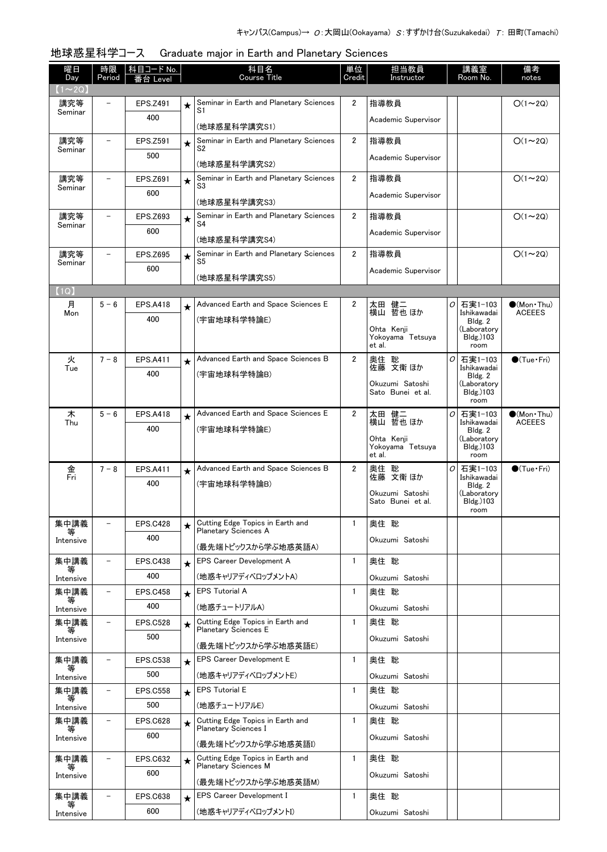| 曜日<br>Day      | 時限<br>Period             | 科目コード No.<br>:台 Level  |         | 科目名<br>Course Title                                             | 単位<br>Credit   | 担当教員<br>Instructor                   |   | 講義室<br>Room No.          | 備考<br>notes                          |
|----------------|--------------------------|------------------------|---------|-----------------------------------------------------------------|----------------|--------------------------------------|---|--------------------------|--------------------------------------|
| $(1 \sim 2Q)$  |                          |                        |         |                                                                 |                |                                      |   |                          |                                      |
| 講究等            |                          | <b>EPS.Z491</b>        | $\star$ | Seminar in Earth and Planetary Sciences                         | $\overline{2}$ | 指導教員                                 |   |                          | $O(1\sim 2Q)$                        |
| Seminar        |                          | 400                    |         | S1<br>(地球惑星科学講究S1)                                              |                | Academic Supervisor                  |   |                          |                                      |
| 講究等            | $\overline{a}$           | EPS.Z591               | $\star$ | Seminar in Earth and Planetary Sciences<br>S <sub>2</sub>       | $\overline{2}$ | 指導教員                                 |   |                          | $O(1\sim 2Q)$                        |
| Seminar        |                          | 500                    |         | (地球惑星科学講究S2)                                                    |                | Academic Supervisor                  |   |                          |                                      |
| 講究等            |                          | <b>EPS.Z691</b>        | $\star$ | Seminar in Earth and Planetary Sciences                         | $\overline{2}$ | 指導教員                                 |   |                          | $O(1\sim 2Q)$                        |
| Seminar        |                          | 600                    |         | S3                                                              |                | Academic Supervisor                  |   |                          |                                      |
|                |                          |                        |         | (地球惑星科学講究S3)                                                    |                |                                      |   |                          |                                      |
| 講究等<br>Seminar | $\overline{\phantom{0}}$ | EPS.Z693               | $\star$ | Seminar in Earth and Planetary Sciences<br>S4                   | $\overline{2}$ | 指導教員                                 |   |                          | $O(1\sim 2Q)$                        |
|                |                          | 600                    |         | (地球惑星科学講究S4)                                                    |                | Academic Supervisor                  |   |                          |                                      |
| 講究等            |                          | <b>EPS.Z695</b>        | $\star$ | Seminar in Earth and Planetary Sciences                         | $\overline{2}$ | 指導教員                                 |   |                          | $O(1\sim 2Q)$                        |
| Seminar        |                          | 600                    |         | S5                                                              |                | Academic Supervisor                  |   |                          |                                      |
|                |                          |                        |         | (地球惑星科学講究S5)                                                    |                |                                      |   |                          |                                      |
| (1Q)           |                          | <b>EPS.A418</b>        |         | Advanced Earth and Space Sciences E                             | $\overline{2}$ |                                      | 0 |                          |                                      |
| 月<br>Mon       | $5 - 6$                  | 400                    | $\star$ | (宇宙地球科学特論E)                                                     |                | 太田 健二<br>横山 哲也ほか                     |   | 石実1-103<br>Ishikawadai   | $\bullet$ (Mon•Thu)<br><b>ACEEES</b> |
|                |                          |                        |         |                                                                 |                | Ohta Kenji                           |   | Bldg. 2<br>(Laboratory   |                                      |
|                |                          |                        |         |                                                                 |                | Yokovama Tetsuva<br>et al.           |   | Bldg.)103<br>room        |                                      |
| 火              | $7 - 8$                  | <b>EPS.A411</b>        | $\star$ | Advanced Earth and Space Sciences B                             | $\overline{2}$ | 奥住 聡                                 | 0 | 石実1-103                  | $\bigcirc$ (Tue · Fri)               |
| Tue            |                          | 400                    |         | (宇宙地球科学特論B)                                                     |                | 佐藤 文衛 ほか                             |   | Ishikawadai<br>Bldg. 2   |                                      |
|                |                          |                        |         |                                                                 |                | Okuzumi Satoshi<br>Sato Bunei et al. |   | (Laboratory<br>Bldg.)103 |                                      |
|                |                          |                        |         |                                                                 |                |                                      |   | room                     |                                      |
| 木<br>Thu       | $5 - 6$                  | <b>EPS.A418</b>        | $\star$ | Advanced Earth and Space Sciences E                             | 2              | 太田 健二<br>横山 哲也ほか                     | 0 | 石実1-103<br>Ishikawadai   | $\bullet$ (Mon Thu)<br><b>ACEEES</b> |
|                |                          | 400                    |         | (宇宙地球科学特論E)                                                     |                | Ohta Kenji                           |   | Bldg. 2<br>(Laboratory   |                                      |
|                |                          |                        |         |                                                                 |                | Yokoyama Tetsuya<br>et al.           |   | Bldg.)103<br>room        |                                      |
| 金              | $7 - 8$                  | <b>EPS.A411</b>        | $\star$ | Advanced Earth and Space Sciences B                             | 2              | 奥住 聡                                 | 0 | 石実1-103                  | $\bigcirc$ (Tue · Fri)               |
| Fri            |                          | 400                    |         | (宇宙地球科学特論B)                                                     |                | 佐藤 文衛 ほか                             |   | Ishikawadai<br>Bldg. 2   |                                      |
|                |                          |                        |         |                                                                 |                | Okuzumi Satoshi<br>Sato Bunei et al. |   | (Laboratory<br>Bldg.)103 |                                      |
|                |                          |                        |         | Cutting Edge Topics in Earth and                                | $\mathbf{1}$   | 奥住 聡                                 |   | room                     |                                      |
| 集中講義           |                          | <b>EPS.C428</b><br>400 | ★       | Planetary Sciences A                                            |                |                                      |   |                          |                                      |
| Intensive      |                          |                        |         | (最先端トピックスから学ぶ地惑英語A)                                             |                | Okuzumi Satoshi                      |   |                          |                                      |
| 集中講義<br>等      | $\overline{\phantom{0}}$ | <b>EPS.C438</b>        | $\star$ | <b>EPS Career Development A</b>                                 | $\mathbf{1}$   | 奥住 聡                                 |   |                          |                                      |
| Intensive      |                          | 400                    |         | (地惑キャリアディベロップメントA)                                              |                | Okuzumi Satoshi                      |   |                          |                                      |
| 集中講義<br>等      | $\overline{\phantom{0}}$ | <b>EPS.C458</b>        | $\star$ | <b>EPS Tutorial A</b>                                           | 1              | 奥住 聡                                 |   |                          |                                      |
| Intensive      |                          | 400                    |         | (地惑チュートリアルA)                                                    |                | Okuzumi Satoshi                      |   |                          |                                      |
| 集中講義<br>等      | $\overline{\phantom{0}}$ | <b>EPS.C528</b>        | $\star$ | Cutting Edge Topics in Earth and<br><b>Planetary Sciences E</b> | 1              | 奥住 聡                                 |   |                          |                                      |
| Intensive      |                          | 500                    |         | (最先端トピックスから学ぶ地惑英語E)                                             |                | Okuzumi Satoshi                      |   |                          |                                      |
| 集中講義           | $\overline{\phantom{0}}$ | <b>EPS.C538</b>        | $\star$ | <b>EPS Career Development E</b>                                 | $\mathbf{1}$   | 奥住 聡                                 |   |                          |                                      |
| 等<br>Intensive |                          | 500                    |         | (地惑キャリアディベロップメントE)                                              |                | Okuzumi Satoshi                      |   |                          |                                      |
| 集中講義           | $\overline{\phantom{0}}$ | <b>EPS.C558</b>        | $\star$ | <b>EPS Tutorial E</b>                                           | $\mathbf{1}$   | 奥住 聡                                 |   |                          |                                      |
| 等<br>Intensive |                          | 500                    |         | (地惑チュートリアルE)                                                    |                | Okuzumi Satoshi                      |   |                          |                                      |
| 集中講義           |                          | <b>EPS.C628</b>        | $\star$ | Cutting Edge Topics in Earth and                                | $\mathbf{1}$   | 奥住 聡                                 |   |                          |                                      |
| Intensive      |                          | 600                    |         | Planetary Sciences I                                            |                | Okuzumi Satoshi                      |   |                          |                                      |
|                |                          |                        |         | (最先端トピックスから学ぶ地惑英語I)                                             |                |                                      |   |                          |                                      |
| 集中講義           |                          | <b>EPS.C632</b>        | $\star$ | Cutting Edge Topics in Earth and<br>Planetary Sciences M        | $\mathbf{1}$   | 奥住 聡                                 |   |                          |                                      |
| Intensive      |                          | 600                    |         | (最先端トピックスから学ぶ地惑英語M)                                             |                | Okuzumi Satoshi                      |   |                          |                                      |
| 集中講義           |                          | <b>EPS.C638</b>        | $\star$ | <b>EPS Career Development I</b>                                 | 1              | 奧住 聡                                 |   |                          |                                      |
| 等<br>Intensive |                          | 600                    |         | (地惑キャリアディベロップメントI)                                              |                | Okuzumi Satoshi                      |   |                          |                                      |

# 地球惑星科学コース Graduate major in Earth and Planetary Sciences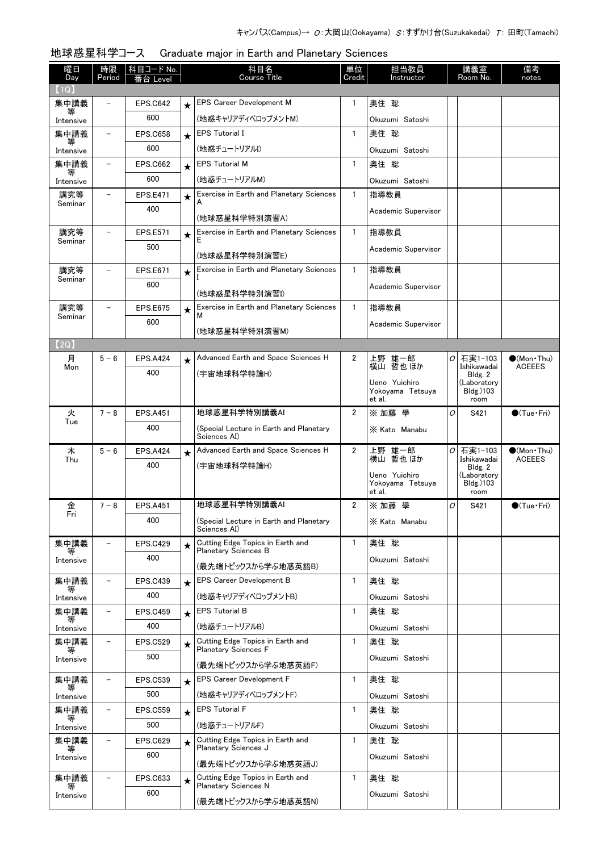| 曜日<br>Day      | 時限<br>Period             | <u>科目コード No.</u><br>番台 Level |         | 科目名<br><b>Course Title</b>                               | 単位<br>Credit   | 担当教員<br>Instructor                |   | 講義室<br>Room No.          | 備考<br>notes                          |
|----------------|--------------------------|------------------------------|---------|----------------------------------------------------------|----------------|-----------------------------------|---|--------------------------|--------------------------------------|
| [1Q]           |                          |                              |         |                                                          |                |                                   |   |                          |                                      |
| 集中講義<br>等      |                          | <b>EPS.C642</b>              | $\star$ | <b>EPS Career Development M</b>                          | 1              | 奥住 聡                              |   |                          |                                      |
| Intensive      |                          | 600                          |         | (地惑キャリアディベロップメントM)                                       |                | Okuzumi Satoshi                   |   |                          |                                      |
| 集中講義           | -                        | <b>EPS.C658</b>              | $\star$ | <b>EPS Tutorial I</b>                                    | 1              | 奥住 聡                              |   |                          |                                      |
| Intensive      |                          | 600                          |         | (地惑チュートリアルI)                                             |                | Okuzumi Satoshi                   |   |                          |                                      |
| 集中講義<br>等      | $\overline{\phantom{0}}$ | <b>EPS.C662</b>              | $\star$ | <b>EPS Tutorial M</b>                                    | 1              | 奥住 聡                              |   |                          |                                      |
| Intensive      |                          | 600                          |         | (地惑チュートリアルM)                                             |                | Okuzumi Satoshi                   |   |                          |                                      |
| 講究等<br>Seminar | $\overline{\phantom{0}}$ | <b>EPS.E471</b>              | $\star$ | Exercise in Earth and Planetary Sciences<br>A            | $\mathbf{1}$   | 指導教員                              |   |                          |                                      |
|                |                          | 400                          |         | (地球惑星科学特別演習A)                                            |                | Academic Supervisor               |   |                          |                                      |
| 講究等            | $\overline{\phantom{0}}$ | <b>EPS.E571</b>              | $\star$ | Exercise in Earth and Planetary Sciences                 | $\mathbf{1}$   | 指導教員                              |   |                          |                                      |
| Seminar        |                          | 500                          |         | Е                                                        |                | Academic Supervisor               |   |                          |                                      |
|                |                          |                              |         | (地球惑星科学特別演習E)                                            |                |                                   |   |                          |                                      |
| 講究等<br>Seminar |                          | <b>EPS.E671</b>              | $\star$ | Exercise in Earth and Planetary Sciences                 | $\mathbf{1}$   | 指導教員                              |   |                          |                                      |
|                |                          | 600                          |         | (地球惑星科学特別演習I)                                            |                | Academic Supervisor               |   |                          |                                      |
| 講究等            |                          | <b>EPS.E675</b>              |         | Exercise in Earth and Planetary Sciences                 | $\mathbf{1}$   | 指導教員                              |   |                          |                                      |
| Seminar        |                          | 600                          | $\star$ | м                                                        |                |                                   |   |                          |                                      |
|                |                          |                              |         | (地球惑星科学特別演習M)                                            |                | Academic Supervisor               |   |                          |                                      |
| 【2Q】           |                          |                              |         |                                                          |                |                                   |   |                          |                                      |
| 月<br>Mon       | $5 - 6$                  | <b>EPS.A424</b>              | $\star$ | Advanced Earth and Space Sciences H                      | 2              | 上野 雄一郎<br>横山 哲也 ほか                | 0 | 石実1-103<br>Ishikawadai   | $\bullet$ (Mon Thu)<br><b>ACEEES</b> |
|                |                          | 400                          |         | (宇宙地球科学特論H)                                              |                | Ueno Yuichiro                     |   | Bldg. 2<br>(Laboratory   |                                      |
|                |                          |                              |         |                                                          |                | Yokoyama Tetsuya                  |   | Bldg.)103                |                                      |
| 火              | $7 - 8$                  | <b>EPS.A451</b>              |         | 地球惑星科学特別講義AI                                             | 2              | et al.<br>※加藤學                    | 0 | room<br>S421             | $\bigcirc$ (Tue · Fri)               |
| Tue            |                          | 400                          |         | (Special Lecture in Earth and Planetary                  |                |                                   |   |                          |                                      |
|                |                          |                              |         | Sciences AI)                                             |                | X Kato Manabu                     |   |                          |                                      |
| 木              | $5 - 6$                  | <b>EPS.A424</b>              | $\star$ | Advanced Earth and Space Sciences H                      | $\overline{2}$ | 上野 雄一郎<br>横山 哲也 ほか                | 0 | 石実1-103<br>Ishikawadai   | $\bullet$ (Mon Thu)<br><b>ACEEES</b> |
| Thu            |                          | 400                          |         | (宇宙地球科学特論H)                                              |                |                                   |   | Bldg. 2                  |                                      |
|                |                          |                              |         |                                                          |                | Ueno Yuichiro<br>Yokoyama Tetsuya |   | (Laboratory<br>Bldg.)103 |                                      |
|                |                          |                              |         |                                                          |                | et al.                            |   | room                     |                                      |
| 金<br>Fri       | $7 - 8$                  | <b>EPS.A451</b>              |         | 地球惑星科学特別講義AI                                             | 2              | ※ 加藤 學                            | 0 | S421                     | $\bigcirc$ (Tue · Fri)               |
|                |                          | 400                          |         | (Special Lecture in Earth and Planetary<br>Sciences AI)  |                | X Kato Manabu                     |   |                          |                                      |
| 集中講義           |                          | <b>EPS.C429</b>              | $\star$ | Cutting Edge Topics in Earth and                         | $\mathbf{1}$   | 奥住 聡                              |   |                          |                                      |
| Intensive      |                          | 400                          |         | Planetary Sciences B                                     |                | Okuzumi Satoshi                   |   |                          |                                      |
|                |                          |                              |         | (最先端トピックスから学ぶ地惑英語B)                                      |                |                                   |   |                          |                                      |
| 集中講義<br>等      |                          | <b>EPS.C439</b>              | $\star$ | <b>EPS Career Development B</b>                          | $\mathbf{1}$   | 奥住 聡                              |   |                          |                                      |
| Intensive      |                          | 400                          |         | (地惑キャリアディベロップメントB)                                       |                | Okuzumi Satoshi                   |   |                          |                                      |
| 集中講義<br>等      | $\overline{\phantom{0}}$ | <b>EPS.C459</b>              | $\star$ | <b>EPS Tutorial B</b>                                    | 1              | 奥住 聡                              |   |                          |                                      |
| Intensive      |                          | 400                          |         | (地惑チュートリアルB)                                             |                | Okuzumi Satoshi                   |   |                          |                                      |
| 集中講義<br>等      | $\overline{\phantom{0}}$ | <b>EPS.C529</b>              | $\star$ | Cutting Edge Topics in Earth and<br>Planetary Sciences F | $\mathbf{1}$   | 奥住 聡                              |   |                          |                                      |
| Intensive      |                          | 500                          |         | (最先端トピックスから学ぶ地惑英語F)                                      |                | Okuzumi Satoshi                   |   |                          |                                      |
| 集中講義           | $\overline{\phantom{0}}$ | <b>EPS.C539</b>              | $\star$ | <b>EPS Career Development F</b>                          | 1              | 奥住 聡                              |   |                          |                                      |
| 等<br>Intensive |                          | 500                          |         | (地惑キャリアディベロップメントF)                                       |                | Okuzumi Satoshi                   |   |                          |                                      |
| 集中講義           | $\overline{\phantom{0}}$ | <b>EPS.C559</b>              | $\star$ | <b>EPS Tutorial F</b>                                    | $\mathbf{1}$   | 奥住 聡                              |   |                          |                                      |
| 等<br>Intensive |                          | 500                          |         | (地惑チュートリアルF)                                             |                | Okuzumi Satoshi                   |   |                          |                                      |
| 集中講義           | $\overline{\phantom{0}}$ | <b>EPS.C629</b>              | $\star$ | Cutting Edge Topics in Earth and                         | 1              | 奥住 聡                              |   |                          |                                      |
| 等<br>Intensive |                          | 600                          |         | Planetary Sciences J                                     |                | Okuzumi Satoshi                   |   |                          |                                      |
|                |                          |                              |         | (最先端トピックスから学ぶ地惑英語J)                                      |                |                                   |   |                          |                                      |
| 集中講義<br>等      | $\overline{\phantom{a}}$ | <b>EPS.C633</b>              | $\star$ | Cutting Edge Topics in Earth and<br>Planetary Sciences N | $\mathbf{1}$   | 奥住 聡                              |   |                          |                                      |
| Intensive      |                          | 600                          |         | (最先端トピックスから学ぶ地惑英語N)                                      |                | Okuzumi Satoshi                   |   |                          |                                      |

# 地球惑星科学コース Graduate major in Earth and Planetary Sciences